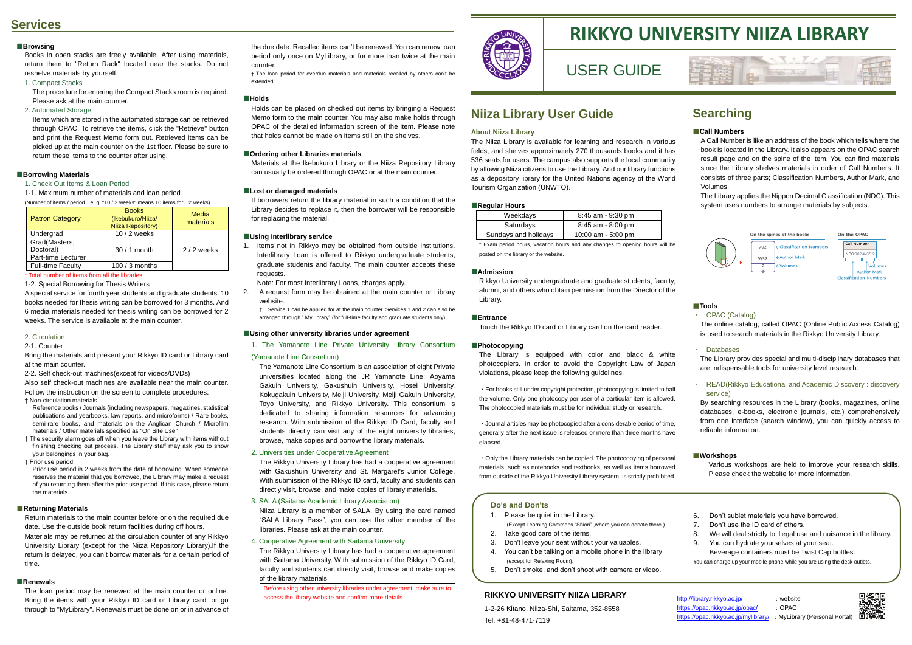### **Services**

#### **■Browsing**

Books in open stacks are freely available. After using materials, return them to "Return Rack" located near the stacks. Do not reshelve materials by yourself.

1. Compact Stacks

The procedure for entering the Compact Stacks room is required. Please ask at the main counter.

2. Automated Storage

1-1. Maximum number of materials and loan period  $(1, 1, 2, ..., 1, 1, ..., 10)$  /  $(2, 2, ..., 10)$  means 10 items for 2 weeks

Items which are stored in the automated storage can be retrieved through OPAC. To retrieve the items, click the "Retrieve" button and print the Request Memo form out. Retrieved items can be picked up at the main counter on the 1st floor. Please be sure to return these items to the counter after using.

### **■Borrowing Materials**

1. Check Out Items & Loan Period

| (INUMBER OF ITEMS / DEFIOR G. G. 10 / Z WEEKS means 10 ITEMS for $\,$ Z Weeks) |                    |
|--------------------------------------------------------------------------------|--------------------|
| <b>Books</b><br>(Ikebukuro/Niiza/<br><b>Niiza Repository)</b>                  | Media<br>materials |
| $10/2$ weeks                                                                   |                    |
|                                                                                |                    |
| $30/1$ month                                                                   | $2/2$ weeks        |
|                                                                                |                    |
| $100/3$ months                                                                 |                    |
|                                                                                |                    |

### \* Total number of items from all the libraries

1-2. Special Borrowing for Thesis Writers

A special service for fourth year students and graduate students. 10 books needed for thesis writing can be borrowed for 3 months. And 6 media materials needed for thesis writing can be borrowed for 2 weeks. The service is available at the main counter.

### 2. Circulation

2-1. Counter

Bring the materials and present your Rikkyo ID card or Library card at the main counter.

2-2. Self check-out machines(except for videos/DVDs)

Also self check-out machines are available near the main counter. Follow the instruction on the screen to complete procedures.

† Non-circulation materials

- Reference books / Journals (including newspapers, magazines, statistical publications and yearbooks, law reports, and microforms) / Rare books, semi-rare books, and materials on the Anglican Church / Microfilm materials / Other materials specified as "On Site Use"
- † The security alarm goes off when you leave the Library with items without finishing checking out process. The Library staff may ask you to show your belongings in your bag.

† Prior use period

Prior use period is 2 weeks from the date of borrowing. When someone reserves the material that you borrowed, the Library may make a request of you returning them after the prior use period. If this case, please return the materials.

### ■**Returning Materials**

Return materials to the main counter before or on the required due date. Use the outside book return facilities during off hours. Materials may be returned at the circulation counter of any Rikkyo University Library (except for the Niiza Repository Library).If the return is delayed, you can't borrow materials for a certain period of time.

#### **■Renewals**

The loan period may be renewed at the main counter or online. Bring the items with your Rikkyo ID card or Library card, or go through to "MyLibrary". Renewals must be done on or in advance of

### **Searching**

### ■**Call Numbers**

A Call Number is like an address of the book which tells where the book is located in the Library. It also appears on the OPAC search result page and on the spine of the item. You can find materials since the Library shelves materials in order of Call Numbers. It consists of three parts; Classification Numbers, Author Mark, and Volumes.

The Library applies the Nippon Decimal Classification (NDC). This system uses numbers to arrange materials by subjects.



### ■**Tools**

### ・ OPAC (Catalog)

The online catalog, called OPAC (Online Public Access Catalog) is used to search materials in the Rikkyo University Library.

・ Databases

The Library provides special and multi-disciplinary databases that are indispensable tools for university level research.

・ READ(Rikkyo Educational and Academic Discovery : discovery service)

By searching resources in the Library (books, magazines, online databases, e-books, electronic journals, etc.) comprehensively from one interface (search window), you can quickly access to reliable information.

### ■**Workshops**

Various workshops are held to improve your research skills. Please check the website for more information.

### **Niiza Library User Guide**

### **About Niiza Library**

The Niiza Library is available for learning and research in various fields, and shelves approximately 270 thousands books and it has 536 seats for users. The campus also supports the local community by allowing Niiza citizens to use the Library. And our library functions as a depository library for the United Nations agency of the World Tourism Organization (UNWTO).

### **■Regular Hours**

| Weekdays             | $8:45$ am - $9:30$ pm |
|----------------------|-----------------------|
| Saturdays            | $8:45$ am - $8:00$ pm |
| Sundays and holidays | 10:00 am $-5:00$ pm   |

\* Exam period hours, vacation hours and any changes to opening hours will be posted on the library or the website.

#### **■Admission**

Rikkyo University undergraduate and graduate students, faculty, alumni, and others who obtain permission from the Director of the Library.

### **■Entrance**

Touch the Rikkyo ID card or Library card on the card reader.

### **■Photocopying**

The Library is equipped with color and black & white photocopiers. In order to avoid the Copyright Law of Japan violations, please keep the following guidelines.

・For books still under copyright protection, photocopying is limited to half the volume. Only one photocopy per user of a particular item is allowed. The photocopied materials must be for individual study or research.

・Journal articles may be photocopied after a considerable period of time, generally after the next issue is released or more than three months have elapsed.

・Only the Library materials can be copied. The photocopying of personal materials, such as notebooks and textbooks, as well as items borrowed from outside of the Rikkyo University Library system, is strictly prohibited.

the due date. Recalled items can't be renewed. You can renew loan period only once on MyLibrary, or for more than twice at the main counter.

† The loan period for overdue materials and materials recalled by others can't be extended

### **■Holds**

Holds can be placed on checked out items by bringing a Request Memo form to the main counter. You may also make holds through OPAC of the detailed information screen of the item. Please note that holds cannot be made on items still on the shelves.

### **■Ordering other Libraries materials**

Materials at the Ikebukuro Library or the Niiza Repository Library can usually be ordered through OPAC or at the main counter.

### **■Lost or damaged materials**

If borrowers return the library material in such a condition that the Library decides to replace it, then the borrower will be responsible for replacing the material.

#### **■Using Interlibrary service**

1. Items not in Rikkyo may be obtained from outside institutions. Interlibrary Loan is offered to Rikkyo undergraduate students, graduate students and faculty. The main counter accepts these requests.

Note: For most Interlibrary Loans, charges apply.

2. A request form may be obtained at the main counter or Library website.

† Service 1 can be applied for at the main counter. Services 1 and 2 can also be arranged through " MyLibrary" (for full-time faculty and graduate students only).

### **■Using other university libraries under agreement**

1. The Yamanote Line Private University Library Consortium

### (Yamanote Line Consortium)

The Yamanote Line Consortium is an association of eight Private universities located along the JR Yamanote Line: Aoyama Gakuin University, Gakushuin University, Hosei University, Kokugakuin University, Meiji University, Meiji Gakuin University, Toyo University, and Rikkyo University. This consortium is dedicated to sharing information resources for advancing research. With submission of the Rikkyo ID Card, faculty and students directly can visit any of the eight university libraries, browse, make copies and borrow the library materials.

### 2. Universities under Cooperative Agreement

The Rikkyo University Library has had a cooperative agreement with Gakushuin University and St. Margaret's Junior College. With submission of the Rikkyo ID card, faculty and students can directly visit, browse, and make copies of library materials.

### 3. SALA (Saitama Academic Library Association)

Niiza Library is a member of SALA. By using the card named "SALA Library Pass", you can use the other member of the libraries. Please ask at the main counter.

### 4. Cooperative Agreement with Saitama University

The Rikkyo University Library has had a cooperative agreement with Saitama University. With submission of the Rikkyo ID Card, faculty and students can directly visit, browse and make copies of the library materials

Before using other university libraries under agreement, make sure to access the library website and confirm more details.



# **RIKKYO UNIVERSITY NIIZA LIBRARY**

## USER GUIDE

### **Do's and Don'ts**

- 1. Please be quiet in the Library.
- (Except Learning Commons "Shiori" ,where you can debate there.) 2. Take good care of the items.
- 
- 3. Don't leave your seat without your valuables. 4. You can't be talking on a mobile phone in the library
- (except for Relaxing Room).
- 5. Don't smoke, and don't shoot with camera or video.
- 6. Don't sublet materials you have borrowed.
- 7. Don't use the ID card of others.
- 8. We will deal strictly to illegal use and nuisance in the library.
- 9. You can hydrate yourselves at your seat. Beverage containers must be Twist Cap bottles.

You can charge up your mobile phone while you are using the desk outlets.



### **RIKKYO UNIVERSITY NIIZA LIBRARY**

1-2-26 Kitano, Niiza-Shi, Saitama, 352-8558 Tel. +81-48-471-7119